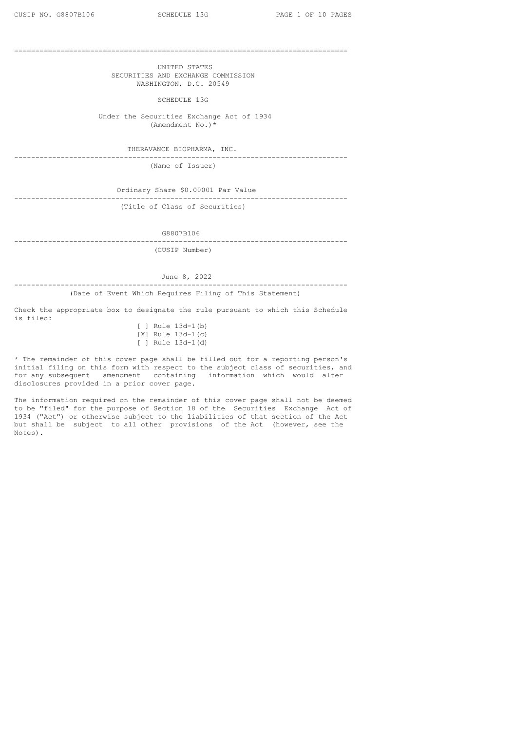===============================================================================

UNITED STATES SECURITIES AND EXCHANGE COMMISSION WASHINGTON, D.C. 20549

SCHEDULE 13G

Under the Securities Exchange Act of 1934 (Amendment No.)\*

THERAVANCE BIOPHARMA, INC. -------------------------------------------------------------------------------

(Name of Issuer)

Ordinary Share \$0.00001 Par Value ------------------------------------------------------------------------------- (Title of Class of Securities)

G8807B106

------------------------------------------------------------------------------- (CUSIP Number)

June 8, 2022

------------------------------------------------------------------------------- (Date of Event Which Requires Filing of This Statement)

Check the appropriate box to designate the rule pursuant to which this Schedule is filed:

[ ] Rule 13d-1(b) [X] Rule 13d-1(c) [ ] Rule 13d-1(d)

\* The remainder of this cover page shall be filled out for a reporting person's initial filing on this form with respect to the subject class of securities, and for any subsequent amendment containing information which would alter disclosures provided in a prior cover page.

The information required on the remainder of this cover page shall not be deemed to be "filed" for the purpose of Section 18 of the Securities Exchange Act of 1934 ("Act") or otherwise subject to the liabilities of that section of the Act but shall be subject to all other provisions of the Act (however, see the Notes).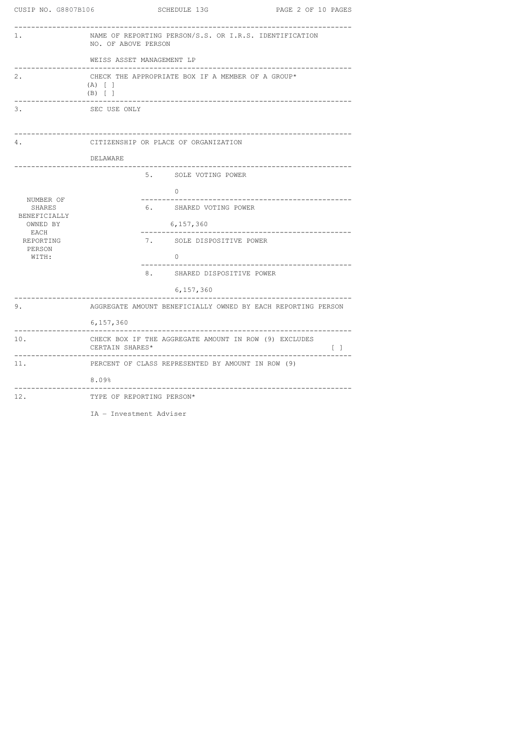| CUSIP NO. G8807B106    | <b>SCHEDULE 13G</b><br>PAGE 2 OF 10 PAGES                                                       |  |  |  |  |  |
|------------------------|-------------------------------------------------------------------------------------------------|--|--|--|--|--|
| 1.                     | NAME OF REPORTING PERSON/S.S. OR I.R.S. IDENTIFICATION<br>NO. OF ABOVE PERSON                   |  |  |  |  |  |
|                        | WEISS ASSET MANAGEMENT LP                                                                       |  |  |  |  |  |
| 2.                     | CHECK THE APPROPRIATE BOX IF A MEMBER OF A GROUP*<br>$(A)$ [ ]<br>$(B)$ [ ]                     |  |  |  |  |  |
| 3.                     | SEC USE ONLY                                                                                    |  |  |  |  |  |
| 4.                     | CITIZENSHIP OR PLACE OF ORGANIZATION                                                            |  |  |  |  |  |
|                        | DELAWARE                                                                                        |  |  |  |  |  |
|                        | 5. SOLE VOTING POWER                                                                            |  |  |  |  |  |
| NUMBER OF              | 0                                                                                               |  |  |  |  |  |
| SHARES<br>BENEFICIALLY | 6. SHARED VOTING POWER                                                                          |  |  |  |  |  |
| OWNED BY<br>EACH       | 6,157,360<br>-------------------------------                                                    |  |  |  |  |  |
| REPORTING<br>PERSON    | 7. SOLE DISPOSITIVE POWER                                                                       |  |  |  |  |  |
| WITH:                  | $\Omega$                                                                                        |  |  |  |  |  |
|                        | 8. SHARED DISPOSITIVE POWER                                                                     |  |  |  |  |  |
|                        | 6,157,360                                                                                       |  |  |  |  |  |
| 9.                     | AGGREGATE AMOUNT BENEFICIALLY OWNED BY EACH REPORTING PERSON                                    |  |  |  |  |  |
|                        | 6,157,360<br>--------------------------------                                                   |  |  |  |  |  |
| 10.                    | CHECK BOX IF THE AGGREGATE AMOUNT IN ROW (9) EXCLUDES<br>CERTAIN SHARES*<br>$\left[ -1 \right]$ |  |  |  |  |  |
| 11.                    | PERCENT OF CLASS REPRESENTED BY AMOUNT IN ROW (9)                                               |  |  |  |  |  |
|                        | $8.09\%$                                                                                        |  |  |  |  |  |
| 12.                    | TYPE OF REPORTING PERSON*                                                                       |  |  |  |  |  |

IA – Investment Adviser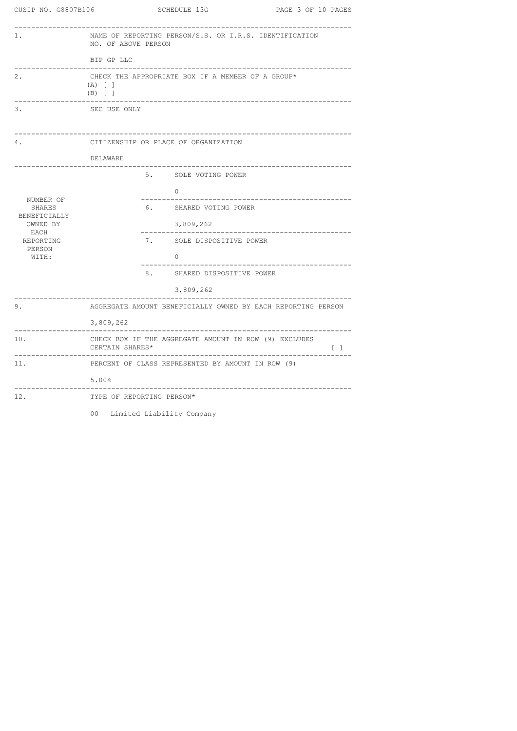| CUSIP NO. G8807B106         | SCHEDULE 13G<br>PAGE 3 OF 10 PAGES                                                                                                                    |  |  |  |  |
|-----------------------------|-------------------------------------------------------------------------------------------------------------------------------------------------------|--|--|--|--|
| 1.                          | NAME OF REPORTING PERSON/S.S. OR I.R.S. IDENTIFICATION<br>NO. OF ABOVE PERSON                                                                         |  |  |  |  |
|                             | BIP GP LLC                                                                                                                                            |  |  |  |  |
| 2.                          | CHECK THE APPROPRIATE BOX IF A MEMBER OF A GROUP*<br>$(A)$ [ ]<br>$(B)$ [ ]                                                                           |  |  |  |  |
| 3.                          | SEC USE ONLY                                                                                                                                          |  |  |  |  |
| 4.                          | CITIZENSHIP OR PLACE OF ORGANIZATION                                                                                                                  |  |  |  |  |
|                             | DELAWARE                                                                                                                                              |  |  |  |  |
|                             | 5. SOLE VOTING POWER                                                                                                                                  |  |  |  |  |
|                             | $\Omega$                                                                                                                                              |  |  |  |  |
| NUMBER OF<br>SHARES         | 6. SHARED VOTING POWER                                                                                                                                |  |  |  |  |
| BENEFICIALLY<br>OWNED BY    | 3,809,262                                                                                                                                             |  |  |  |  |
| EACH<br>REPORTING<br>PERSON | 7. SOLE DISPOSITIVE POWER                                                                                                                             |  |  |  |  |
| WITH:                       | $\Omega$                                                                                                                                              |  |  |  |  |
|                             | 8. SHARED DISPOSITIVE POWER                                                                                                                           |  |  |  |  |
|                             | 3,809,262                                                                                                                                             |  |  |  |  |
| 9.                          | AGGREGATE AMOUNT BENEFICIALLY OWNED BY EACH REPORTING PERSON                                                                                          |  |  |  |  |
|                             | 3,809,262                                                                                                                                             |  |  |  |  |
| 10.                         | CHECK BOX IF THE AGGREGATE AMOUNT IN ROW (9) EXCLUDES<br>$\begin{bmatrix} 1 \end{bmatrix}$<br>CERTAIN SHARES*<br>____________________________________ |  |  |  |  |
| 11.                         | PERCENT OF CLASS REPRESENTED BY AMOUNT IN ROW (9)                                                                                                     |  |  |  |  |
|                             | $5.00$ <sup>8</sup>                                                                                                                                   |  |  |  |  |
| 12.                         | TYPE OF REPORTING PERSON*                                                                                                                             |  |  |  |  |

00 – Limited Liability Company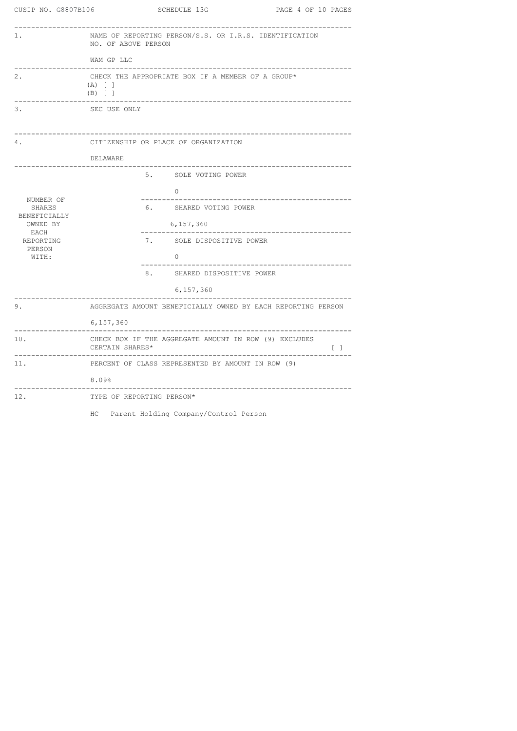| CUSIP NO. G8807B106      | <b>SCHEDULE 13G</b><br>PAGE 4 OF 10 PAGES                                                                                                                                                                     |
|--------------------------|---------------------------------------------------------------------------------------------------------------------------------------------------------------------------------------------------------------|
| 1.                       | NAME OF REPORTING PERSON/S.S. OR I.R.S. IDENTIFICATION<br>NO. OF ABOVE PERSON                                                                                                                                 |
|                          | WAM GP LLC                                                                                                                                                                                                    |
| 2.                       | CHECK THE APPROPRIATE BOX IF A MEMBER OF A GROUP*<br>$(A)$ [ ]<br>$(B)$ [ ]                                                                                                                                   |
| 3.                       | SEC USE ONLY                                                                                                                                                                                                  |
| 4.                       | CITIZENSHIP OR PLACE OF ORGANIZATION                                                                                                                                                                          |
|                          | DELAWARE<br>_________________________                                                                                                                                                                         |
|                          | 5. SOLE VOTING POWER                                                                                                                                                                                          |
|                          | $\overline{0}$                                                                                                                                                                                                |
| NUMBER OF<br>SHARES      | 6. SHARED VOTING POWER                                                                                                                                                                                        |
| BENEFICIALLY<br>OWNED BY | 6,157,360                                                                                                                                                                                                     |
| EACH<br>REPORTING        | 7. SOLE DISPOSITIVE POWER                                                                                                                                                                                     |
| PERSON<br>WITH:          | $\Omega$                                                                                                                                                                                                      |
|                          | 8.<br>SHARED DISPOSITIVE POWER                                                                                                                                                                                |
|                          | 6,157,360                                                                                                                                                                                                     |
| 9.                       | AGGREGATE AMOUNT BENEFICIALLY OWNED BY EACH REPORTING PERSON                                                                                                                                                  |
|                          | 6,157,360                                                                                                                                                                                                     |
| 10.                      | CHECK BOX IF THE AGGREGATE AMOUNT IN ROW (9) EXCLUDES<br>CERTAIN SHARES*<br>$\begin{array}{ccc} \begin{array}{ccc} \end{array} & \begin{array}{ccc} \end{array} & \begin{array}{ccc} \end{array} \end{array}$ |
| 11.                      | PERCENT OF CLASS REPRESENTED BY AMOUNT IN ROW (9)                                                                                                                                                             |
|                          | 8.09%<br>_________________                                                                                                                                                                                    |
| 12.                      | TYPE OF REPORTING PERSON*                                                                                                                                                                                     |
|                          | HC - Parent Holding Company/Control Person                                                                                                                                                                    |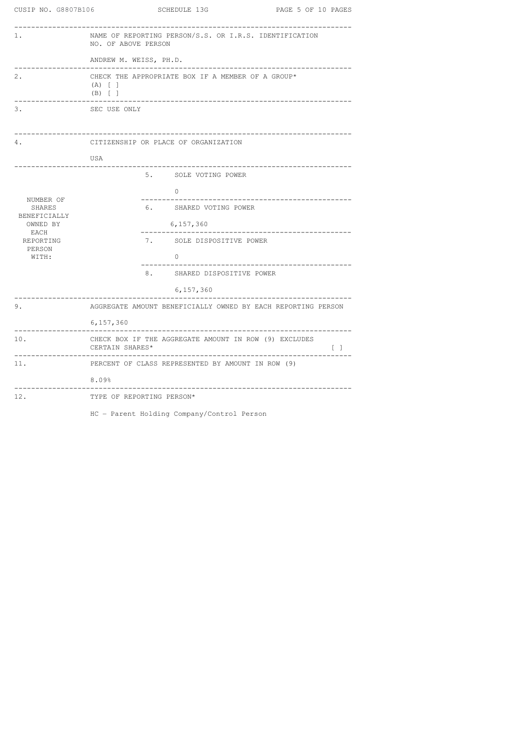| CUSIP NO. G8807B106    | SCHEDULE 13G<br>PAGE 5 OF 10 PAGES                                                                           |
|------------------------|--------------------------------------------------------------------------------------------------------------|
| 1.                     | NAME OF REPORTING PERSON/S.S. OR I.R.S. IDENTIFICATION<br>NO. OF ABOVE PERSON                                |
|                        | ANDREW M. WEISS, PH.D.                                                                                       |
| 2.                     | CHECK THE APPROPRIATE BOX IF A MEMBER OF A GROUP*<br>$(A)$ [ ]<br>$(B)$ [ ]                                  |
| 3.                     | SEC USE ONLY                                                                                                 |
| 4.                     | CITIZENSHIP OR PLACE OF ORGANIZATION                                                                         |
|                        | USA                                                                                                          |
|                        | 5. SOLE VOTING POWER                                                                                         |
| NUMBER OF              | $\Omega$                                                                                                     |
| SHARES<br>BENEFICIALLY | 6. SHARED VOTING POWER                                                                                       |
| OWNED BY<br>EACH       | 6,157,360<br>--------------------------------                                                                |
| REPORTING<br>PERSON    | 7. SOLE DISPOSITIVE POWER                                                                                    |
| WITH:                  | $\circ$                                                                                                      |
|                        | 8. SHARED DISPOSITIVE POWER                                                                                  |
|                        | 6,157,360<br>--------------------------                                                                      |
| 9.                     | AGGREGATE AMOUNT BENEFICIALLY OWNED BY EACH REPORTING PERSON                                                 |
|                        | 6,157,360                                                                                                    |
| 10.                    | CHECK BOX IF THE AGGREGATE AMOUNT IN ROW (9) EXCLUDES<br>CERTAIN SHARES*<br>$\begin{array}{ccc} \end{array}$ |
| 11.                    | PERCENT OF CLASS REPRESENTED BY AMOUNT IN ROW (9)                                                            |
|                        | 8.09%<br>____________________                                                                                |
| 12.                    | TYPE OF REPORTING PERSON*                                                                                    |

HC – Parent Holding Company/Control Person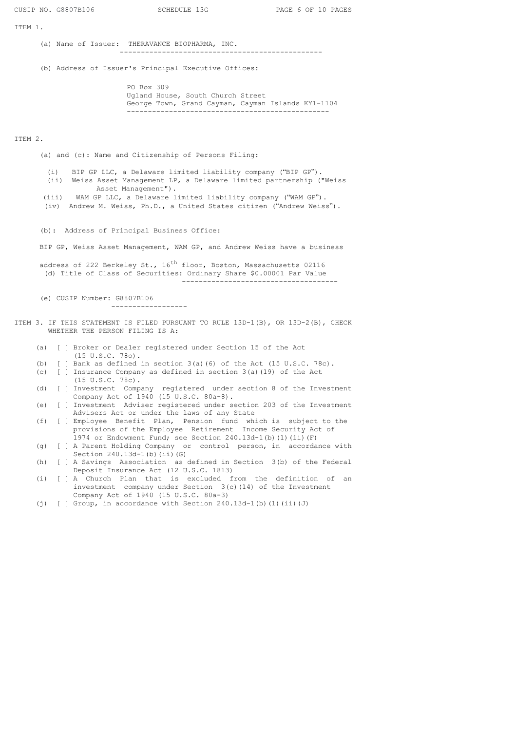ITEM 1.

(a) Name of Issuer: THERAVANCE BIOPHARMA, INC. ------------------------------------------------

(b) Address of Issuer's Principal Executive Offices:

PO Box 309 Ugland House, South Church Street George Town, Grand Cayman, Cayman Islands KY1-1104 ------------------------------------------------

## ITEM 2.

(a) and (c): Name and Citizenship of Persons Filing:

(i) BIP GP LLC, a Delaware limited liability company ("BIP GP"). (ii) Weiss Asset Management LP, a Delaware limited partnership ("Weiss Asset Management").

(iii) WAM GP LLC, a Delaware limited liability company ("WAM GP").

(iv) Andrew M. Weiss, Ph.D., a United States citizen ("Andrew Weiss").

(b): Address of Principal Business Office:

BIP GP, Weiss Asset Management, WAM GP, and Andrew Weiss have a business

address of 222 Berkeley St., 16<sup>th</sup> floor, Boston, Massachusetts 02116 (d) Title of Class of Securities: Ordinary Share \$0.00001 Par Value -------------------------------------

(e) CUSIP Number: G8807B106

------------------

- ITEM 3. IF THIS STATEMENT IS FILED PURSUANT TO RULE 13D-1(B), OR 13D-2(B), CHECK WHETHER THE PERSON FILING IS A:
	- (a) [ ] Broker or Dealer registered under Section 15 of the Act (15 U.S.C. 78o).
	- (b)  $\lceil$  | Bank as defined in section 3(a)(6) of the Act (15 U.S.C. 78c).
	- (c) [ ] Insurance Company as defined in section 3(a)(19) of the Act (15 U.S.C. 78c).
	- (d) [ ] Investment Company registered under section 8 of the Investment Company Act of 1940 (15 U.S.C. 80a-8).
	- (e) [ ] Investment Adviser registered under section 203 of the Investment Advisers Act or under the laws of any State

(f) [ ] Employee Benefit Plan, Pension fund which is subject to the provisions of the Employee Retirement Income Security Act of 1974 or Endowment Fund; see Section 240.13d-1(b)(1)(ii)(F)

- (g) [ ] A Parent Holding Company or control person, in accordance with Section  $240.13d-1$  (b) (ii) (G)
- (h) [ ] A Savings Association as defined in Section 3(b) of the Federal Deposit Insurance Act (12 U.S.C. 1813)
- (i) [ ] A Church Plan that is excluded from the definition of an investment company under Section 3(c)(14) of the Investment Company Act of 1940 (15 U.S.C. 80a-3)
- (j) [ ] Group, in accordance with Section 240.13d-1(b)(1)(ii)(J)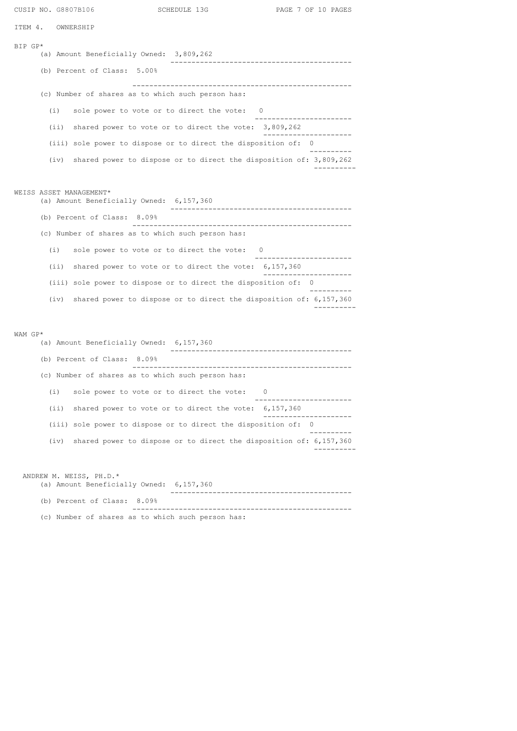| CUSIP NO. G8807B106                                                                                          |                             |                                                   |                                                                     | SCHEDULE 13G                                                         | PAGE 7 OF 10 PAGES                 |  |  |
|--------------------------------------------------------------------------------------------------------------|-----------------------------|---------------------------------------------------|---------------------------------------------------------------------|----------------------------------------------------------------------|------------------------------------|--|--|
| ITEM 4.                                                                                                      |                             | OWNERSHIP                                         |                                                                     |                                                                      |                                    |  |  |
| BIP GP*                                                                                                      |                             |                                                   | (a) Amount Beneficially Owned: 3,809,262                            |                                                                      |                                    |  |  |
|                                                                                                              |                             |                                                   | (b) Percent of Class: 5.00%                                         | ---------------------------                                          |                                    |  |  |
|                                                                                                              |                             |                                                   |                                                                     | (c) Number of shares as to which such person has:                    |                                    |  |  |
|                                                                                                              |                             | (i)                                               |                                                                     | sole power to vote or to direct the vote: 0                          |                                    |  |  |
|                                                                                                              |                             | (iii)                                             |                                                                     | shared power to vote or to direct the vote: $3,809,262$              | . <u>.</u> .                       |  |  |
|                                                                                                              |                             |                                                   |                                                                     | (iii) sole power to dispose or to direct the disposition of: 0       |                                    |  |  |
|                                                                                                              |                             | (iv)                                              |                                                                     | shared power to dispose or to direct the disposition of: $3,809,262$ |                                    |  |  |
|                                                                                                              |                             |                                                   |                                                                     |                                                                      |                                    |  |  |
|                                                                                                              |                             |                                                   | WEISS ASSET MANAGEMENT*<br>(a) Amount Beneficially Owned: 6,157,360 |                                                                      | ---------------------------------- |  |  |
|                                                                                                              |                             |                                                   | (b) Percent of Class: 8.09%                                         |                                                                      |                                    |  |  |
|                                                                                                              |                             |                                                   |                                                                     | (c) Number of shares as to which such person has:                    |                                    |  |  |
|                                                                                                              |                             | (i)                                               |                                                                     | sole power to vote or to direct the vote: 0                          |                                    |  |  |
|                                                                                                              |                             | (iii)                                             |                                                                     | shared power to vote or to direct the vote: 6,157,360                |                                    |  |  |
|                                                                                                              |                             |                                                   |                                                                     | (iii) sole power to dispose or to direct the disposition of: 0       |                                    |  |  |
|                                                                                                              |                             | (iv)                                              |                                                                     | shared power to dispose or to direct the disposition of: 6,157,360   |                                    |  |  |
| WAM GP*                                                                                                      |                             |                                                   |                                                                     |                                                                      |                                    |  |  |
|                                                                                                              |                             |                                                   | (a) Amount Beneficially Owned: 6,157,360                            | ------------------------                                             |                                    |  |  |
|                                                                                                              |                             |                                                   | (b) Percent of Class: 8.09%                                         |                                                                      |                                    |  |  |
|                                                                                                              |                             | (c) Number of shares as to which such person has: |                                                                     |                                                                      |                                    |  |  |
|                                                                                                              |                             | (i)                                               |                                                                     | sole power to vote or to direct the vote:<br>0                       |                                    |  |  |
|                                                                                                              |                             | (i)                                               |                                                                     | shared power to vote or to direct the vote: $6,157,360$              |                                    |  |  |
|                                                                                                              |                             | (iii)                                             |                                                                     | sole power to dispose or to direct the disposition of: 0             |                                    |  |  |
|                                                                                                              |                             | (iv)                                              |                                                                     | shared power to dispose or to direct the disposition of: $6,157,360$ |                                    |  |  |
| ANDREW M. WEISS, PH.D.*<br>(a) Amount Beneficially Owned: 6,157,360<br>------------------------------------- |                             |                                                   |                                                                     |                                                                      |                                    |  |  |
|                                                                                                              | (b) Percent of Class: 8.09% |                                                   |                                                                     |                                                                      |                                    |  |  |

(c) Number of shares as to which such person has: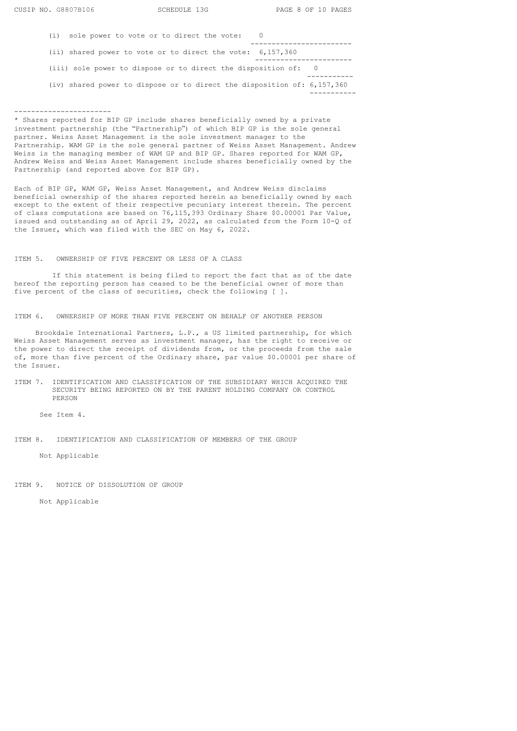| sole power to vote or to direct the vote:<br>(i)                          |  |
|---------------------------------------------------------------------------|--|
| (ii) shared power to vote or to direct the vote: $6,157,360$              |  |
| (iii) sole power to dispose or to direct the disposition of: 0            |  |
| (iv) shared power to dispose or to direct the disposition of: $6,157,360$ |  |

#### -----------------------

\* Shares reported for BIP GP include shares beneficially owned by a private investment partnership (the "Partnership") of which BIP GP is the sole general partner. Weiss Asset Management is the sole investment manager to the Partnership. WAM GP is the sole general partner of Weiss Asset Management. Andrew Weiss is the managing member of WAM GP and BIP GP. Shares reported for WAM GP, Andrew Weiss and Weiss Asset Management include shares beneficially owned by the Partnership (and reported above for BIP GP).

Each of BIP GP, WAM GP, Weiss Asset Management, and Andrew Weiss disclaims beneficial ownership of the shares reported herein as beneficially owned by each except to the extent of their respective pecuniary interest therein. The percent of class computations are based on 76,115,393 Ordinary Share \$0.00001 Par Value, issued and outstanding as of April 29, 2022, as calculated from the Form 10-Q of the Issuer, which was filed with the SEC on May 6, 2022.

#### ITEM 5. OWNERSHIP OF FIVE PERCENT OR LESS OF A CLASS

If this statement is being filed to report the fact that as of the date hereof the reporting person has ceased to be the beneficial owner of more than five percent of the class of securities, check the following [ ].

ITEM 6. OWNERSHIP OF MORE THAN FIVE PERCENT ON BEHALF OF ANOTHER PERSON

Brookdale International Partners, L.P., a US limited partnership, for which Weiss Asset Management serves as investment manager, has the right to receive or the power to direct the receipt of dividends from, or the proceeds from the sale of, more than five percent of the Ordinary share, par value \$0.00001 per share of the Issuer.

### ITEM 7. IDENTIFICATION AND CLASSIFICATION OF THE SUBSIDIARY WHICH ACQUIRED THE SECURITY BEING REPORTED ON BY THE PARENT HOLDING COMPANY OR CONTROL PERSON

See Item 4.

ITEM 8. IDENTIFICATION AND CLASSIFICATION OF MEMBERS OF THE GROUP

Not Applicable

ITEM 9. NOTICE OF DISSOLUTION OF GROUP

Not Applicable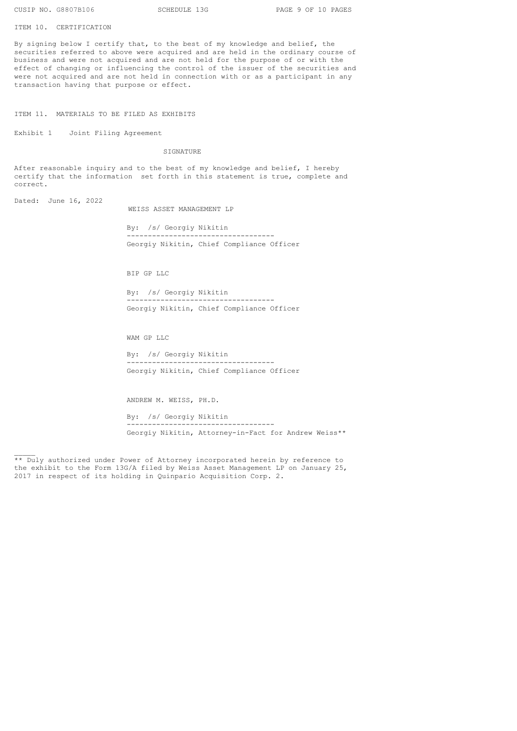ITEM 10. CERTIFICATION

By signing below I certify that, to the best of my knowledge and belief, the securities referred to above were acquired and are held in the ordinary course of business and were not acquired and are not held for the purpose of or with the effect of changing or influencing the control of the issuer of the securities and were not acquired and are not held in connection with or as a participant in any transaction having that purpose or effect.

ITEM 11. MATERIALS TO BE FILED AS EXHIBITS

Exhibit 1 Joint Filing Agreement

SIGNATURE

After reasonable inquiry and to the best of my knowledge and belief, I hereby certify that the information set forth in this statement is true, complete and correct.

Dated: June 16, 2022

 $\overline{\phantom{a}}$ 

WEISS ASSET MANAGEMENT LP

By: /s/ Georgiy Nikitin ----------------------------------- Georgiy Nikitin, Chief Compliance Officer

BIP GP LLC

By: /s/ Georgiy Nikitin ----------------------------------- Georgiy Nikitin, Chief Compliance Officer

WAM GP LLC

By: /s/ Georgiy Nikitin ----------------------------------- Georgiy Nikitin, Chief Compliance Officer

ANDREW M. WEISS, PH.D. By: /s/ Georgiy Nikitin -----------------------------------

Georgiy Nikitin, Attorney-in-Fact for Andrew Weiss\*\*

\*\* Duly authorized under Power of Attorney incorporated herein by reference to the exhibit to the Form 13G/A filed by Weiss Asset Management LP on January 25, 2017 in respect of its holding in Quinpario Acquisition Corp. 2.